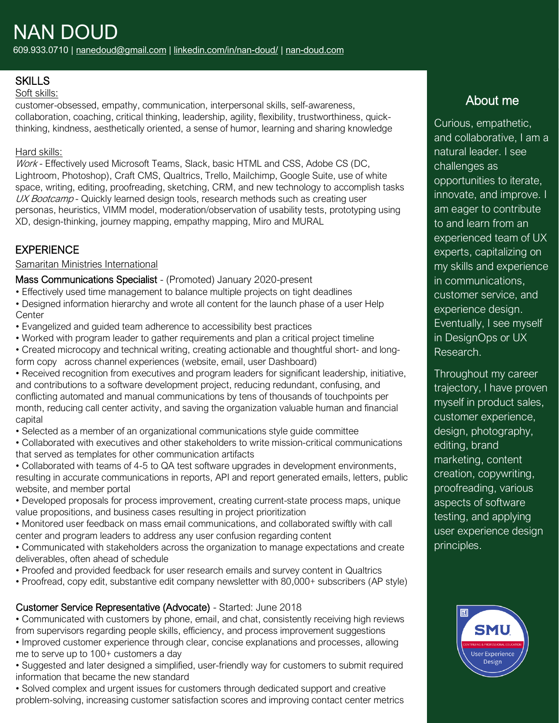# **SKILLS**

#### Soft skills:

customer-obsessed, empathy, communication, interpersonal skills, self-awareness, collaboration, coaching, critical thinking, leadership, agility, flexibility, trustworthiness, quickthinking, kindness, aesthetically oriented, a sense of humor, learning and sharing knowledge

#### Hard skills:

Work - Effectively used Microsoft Teams, Slack, basic HTML and CSS, Adobe CS (DC, Lightroom, Photoshop), Craft CMS, Qualtrics, Trello, Mailchimp, Google Suite, use of white space, writing, editing, proofreading, sketching, CRM, and new technology to accomplish tasks UX Bootcamp - Quickly learned design tools, research methods such as creating user personas, heuristics, VIMM model, moderation/observation of usability tests, prototyping using XD, design-thinking, journey mapping, empathy mapping, Miro and MURAL

# **EXPERIENCE**

#### Samaritan Ministries International

Mass Communications Specialist - (Promoted) January 2020-present

- Effectively used time management to balance multiple projects on tight deadlines
- Designed information hierarchy and wrote all content for the launch phase of a user Help **Center**
- Evangelized and guided team adherence to accessibility best practices
- Worked with program leader to gather requirements and plan a critical project timeline
- Created microcopy and technical writing, creating actionable and thoughtful short- and longform copy across channel experiences (website, email, user Dashboard)

• Received recognition from executives and program leaders for significant leadership, initiative, and contributions to a software development project, reducing redundant, confusing, and conflicting automated and manual communications by tens of thousands of touchpoints per month, reducing call center activity, and saving the organization valuable human and financial capital

• Selected as a member of an organizational communications style guide committee

• Collaborated with executives and other stakeholders to write mission-critical communications that served as templates for other communication artifacts

• Collaborated with teams of 4-5 to QA test software upgrades in development environments, resulting in accurate communications in reports, API and report generated emails, letters, public website, and member portal

- Developed proposals for process improvement, creating current-state process maps, unique value propositions, and business cases resulting in project prioritization
- Monitored user feedback on mass email communications, and collaborated swiftly with call center and program leaders to address any user confusion regarding content
- Communicated with stakeholders across the organization to manage expectations and create deliverables, often ahead of schedule
- Proofed and provided feedback for user research emails and survey content in Qualtrics
- Proofread, copy edit, substantive edit company newsletter with 80,000+ subscribers (AP style)

## Customer Service Representative (Advocate) - Started: June 2018

• Communicated with customers by phone, email, and chat, consistently receiving high reviews from supervisors regarding people skills, efficiency, and process improvement suggestions

• Improved customer experience through clear, concise explanations and processes, allowing me to serve up to 100+ customers a day

• Suggested and later designed a simplified, user-friendly way for customers to submit required information that became the new standard

• Solved complex and urgent issues for customers through dedicated support and creative problem-solving, increasing customer satisfaction scores and improving contact center metrics

# About me

Curious, empathetic, and collaborative, I am a natural leader. I see challenges as opportunities to iterate, innovate, and improve. I am eager to contribute to and learn from an experienced team of UX experts, capitalizing on my skills and experience in communications, customer service, and experience design. Eventually, I see myself in DesignOps or UX Research.

Throughout my career trajectory, I have proven myself in product sales, customer experience, design, photography, editing, brand marketing, content creation, copywriting, proofreading, various aspects of software testing, and applying user experience design principles.